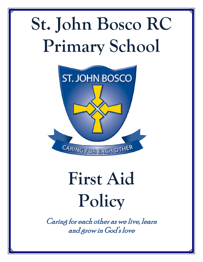# **St. John Bosco RC Primary School**



## **First Aid Policy**

Caring for each other as we live, learn and grow in God's love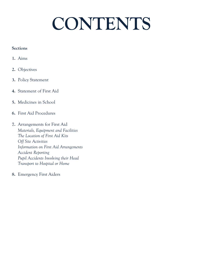### **CONTENTS**

#### **Sections**

- **1.** Aims
- **2.** Objectives
- **3.** Policy Statement
- **4.** Statement of First Aid
- **5.** Medicines in School
- **6.** First Aid Procedures
- **7.** Arrangements for First Aid *Materials, Equipment and Facilities The Location of First Aid Kits Off Site Activities Information on First Aid Arrangements Accident Reporting Pupil Accidents Involving their Head Transport to Hospital or Home*
- **8.** Emergency First Aiders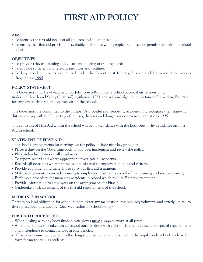### **FIRST AID POLICY**

#### **AIMS**

- To identify the first aid needs of all children and adults in school.
- To ensure that first aid provision is available at all times while people are on school premises and also on school visits.

#### **OBJECTIVES**

- To provide relevant training and ensure monitoring of training needs.
- To provide sufficient and relevant resources and facilities.
- To keep accident records as required under the Reporting if Injuries, Disease and Dangerous Occurrences Regulations 1995.

#### **POLICY STATEMENT**

The Governors and Head teacher of St. John Bosco RC Primary School accept their responsibility under the Health and Safety (First Aid) regulations 1981 and acknowledge the importance of providing First Aid for employees, children and visitors within the school.

The Governors are committed to the authority's procedure for reporting accidents and recognise their statutory duty to comply with the Reporting of injuries, diseases and dangerous occurrences regulations 1995.

The provision of First Aid within the school will be in accordance with the Local Authority's guidance on First Aid in school.

#### **STATEMENT OF FIRST AID**

The school's arrangements for carrying out the policy include nine key principles.

- Places a duty on the Governing body to approve, implement and review the policy.
- Place individual duties on all employees.
- To report, record and where appropriate investigate all accidents.
- Records all occasions when first aid is administered to employees, pupils and visitors.
- Provide equipment and materials to carry out first aid treatment.
- Make arrangements to provide training to employees, maintain a record of that training and review annually.
- Establish a procedure for managing accidents in school which require First Aid treatment.
- Provide information to employees on the arrangements for First Aid.
- Undertake a risk assessment of the first aid requirements of the school.

#### **MEDICINES IN SCHOOL**

There is no legal obligation for school to administer any medication; this is purely voluntary and strictly limited to those prescribed by a doctor. (See Medication in School Policy)

#### **FIRST AID PROCEDURES**

- When dealing with any body fluids plastic gloves **must** always be worn at all times.
- A first aid kit must be taken on all school outings along with a list of children's ailments or special requirements and a telephone to contact school in emergencies.
- All accidents must be reported to the designated first aider and recorded in the pupil accident book and/or 1R1 form for more serious accidents.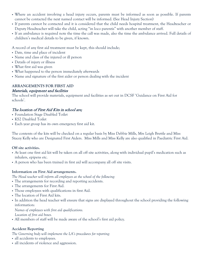- Where an accident involving a head injury occurs, parents must be informed as soon as possible. If parents cannot be contacted the next named contact will be informed. (See Head Injury Section)
- If parents cannot be contacted and it is considered that the child needs hospital treatment, the Headteacher or Deputy Headteacher will take the child, acting "in loco parentis" with another member of staff.
- If an ambulance is required note the time the call was made, also the time the ambulance arrived. Full details of children's medical details to be given, if known.

A record of any first aid treatment must be kept, this should include;

- Date, time and place of incident
- Name and class of the injured or ill person
- Details of injury or illness
- What first aid was given
- What happened to the person immediately afterwards
- Name and signature of the first aider or person dealing with the incident

#### **ARRANGEMENTS FOR FIRST AID**

#### Materials, equipment and facilities

The school will provide materials, equipment and facilities as set out in DCSF 'Guidance on First Aid for schools'.

#### The location of First Aid Kits in school are;

- Foundation Stage Disabled Toilet
- KS2 Disabled Toilet
- Each year group has its own emergency first aid kit.

The contents of the kits will be checked on a regular basis by Miss Debbie Mills, Mrs Leigh Brettle and Miss Stacey Kelly who are Designated First Aiders. Miss Mills and Miss Kelly are also qualified in Paediatric First Aid.

#### **Off site activities.**

- At least one first aid kit will be taken on all off site activities, along with individual pupil's medication such as inhalers, epipens etc.
- A person who has been trained in first aid will accompany all off site visits.

#### **Information on First Aid arrangements.**

*The Head teacher will inform all employees at the school of the following:*

- The arrangements for recording and reporting accidents.
- The arrangements for First Aid.
- Those employees with qualifications in first Aid.
- The location of First Aid kits.
- In addition the head teacher will ensure that signs are displayed throughout the school providing the following information:

*Names of employees with first aid qualifications. Location of first aid boxes.*

All members of staff will be made aware of the school's first aid policy.

#### **Accident Reporting**

*The Governing body will implement the LA's procedures for reporting:*

- all accidents to employees.
- all incidents of violence and aggression.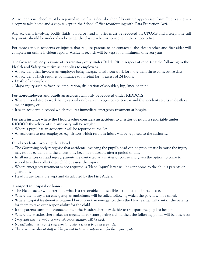All accidents in school must be reported to the first aider who then fills out the appropriate form. Pupils are given a copy to take home and a copy is kept in the School Office (conforming with Data Protection Act).

Any accidents involving bodily fluids, blood or head injuries **must be reported on CPOMS** and a telephone call to parents should be undertaken by either the class teacher or someone in the school office.

For more serious accidents or injuries that require parents to be contacted, the Headteacher and first aider will complete an online incident report. Accident records will be kept for a minimum of seven years.

#### **The Governing body is aware of its statutory duty under RIDDOR in respect of reporting the following to the Health and Safety executive as it applies to employees.**

- An accident that involves an employee being incapacitated from work for more than three consecutive days.
- An accident which requires admittance to hospital for in excess of 24 hours.
- Death of an employee.
- Major injury such as fracture, amputation, dislocation of shoulder, hip, knee or spine.

#### **For non-employees and pupils an accident will only be reported under RIDDOR:**

- Where it is related to work being carried out by an employee or contractor and the accident results in death or major injury, or;
- It is an accident in school which requires immediate emergency treatment at hospital

#### **For each instance where the Head teacher considers an accident to a visitor or pupil is reportable under RIDDOR the advice of the authority will be sought.**

- Where a pupil has an accident it will be reported to the LA.
- All accidents to non-employees e.g. visitors which result in injury will be reported to the authority.

#### ı

#### **Pupil accidents involving their head.**

- The Governing body recognise that accidents involving the pupil's head can be problematic because the injury may not be evident and the effects only become noticeable after a period of time.
- In all instances of head injury, parents are contacted as a matter of course and given the option to come to school to either collect their child or assess the injury.
- Where emergency treatment is not required, a 'Head Injury' letter will be sent home to the child's parents or guardians.
- Head Injury forms are kept and distributed by the First Aiders.

#### **Transport to hospital or home.**

- The Headteacher will determine what is a reasonable and sensible action to take in each case.
- Where the injury is an emergency an ambulance will be called following which the parent will be called.
- Where hospital treatment is required but it is not an emergency, then the Headteacher will contact the parents for them to take over responsibility for the child.
- If the parents cannot be contacted then the Headteacher may decide to transport the pupil to hospital
- Where the Headteacher makes arrangements for transporting a child then the following points will be observed:
- *Only staff cars insured to cover such transportation will be used.*
- *No individual member of staff should be alone with a pupil in a vehicle.*
- *The second member of staff will be present to provide supervision for the injured pupil.*